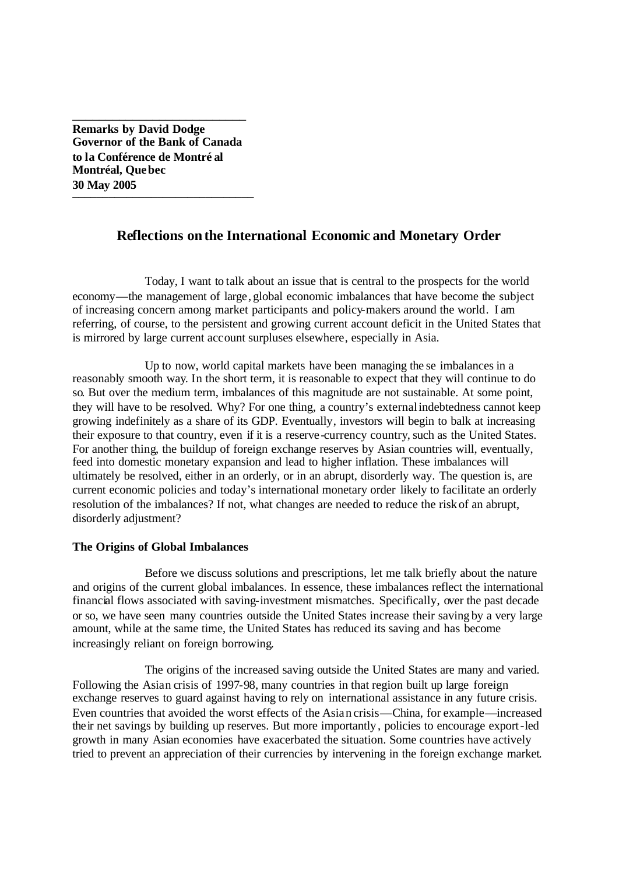**Remarks by David Dodge Governor of the Bank of Canada to la Conférence de Montré al Montréal, Quebec 30 May 2005 \_\_\_\_\_\_\_\_\_\_\_\_\_\_\_\_\_\_\_\_\_\_\_\_\_\_\_\_\_\_**

\_\_\_\_\_\_\_\_\_\_\_\_\_\_\_\_\_\_\_\_\_\_\_\_\_\_

# **Reflections on the International Economic and Monetary Order**

Today, I want to talk about an issue that is central to the prospects for the world economy—the management of large, global economic imbalances that have become the subject of increasing concern among market participants and policy-makers around the world. I am referring, of course, to the persistent and growing current account deficit in the United States that is mirrored by large current account surpluses elsewhere, especially in Asia.

Up to now, world capital markets have been managing the se imbalances in a reasonably smooth way. In the short term, it is reasonable to expect that they will continue to do so. But over the medium term, imbalances of this magnitude are not sustainable. At some point, they will have to be resolved. Why? For one thing, a country's external indebtedness cannot keep growing indefinitely as a share of its GDP. Eventually, investors will begin to balk at increasing their exposure to that country, even if it is a reserve -currency country, such as the United States. For another thing, the buildup of foreign exchange reserves by Asian countries will, eventually, feed into domestic monetary expansion and lead to higher inflation. These imbalances will ultimately be resolved, either in an orderly, or in an abrupt, disorderly way. The question is, are current economic policies and today's international monetary order likely to facilitate an orderly resolution of the imbalances? If not, what changes are needed to reduce the risk of an abrupt, disorderly adjustment?

# **The Origins of Global Imbalances**

Before we discuss solutions and prescriptions, let me talk briefly about the nature and origins of the current global imbalances. In essence, these imbalances reflect the international financial flows associated with saving-investment mismatches. Specifically, over the past decade or so, we have seen many countries outside the United States increase their saving by a very large amount, while at the same time, the United States has reduced its saving and has become increasingly reliant on foreign borrowing.

The origins of the increased saving outside the United States are many and varied. Following the Asian crisis of 1997-98, many countries in that region built up large foreign exchange reserves to guard against having to rely on international assistance in any future crisis. Even countries that avoided the worst effects of the Asian crisis—China, for example—increased their net savings by building up reserves. But more importantly, policies to encourage export-led growth in many Asian economies have exacerbated the situation. Some countries have actively tried to prevent an appreciation of their currencies by intervening in the foreign exchange market.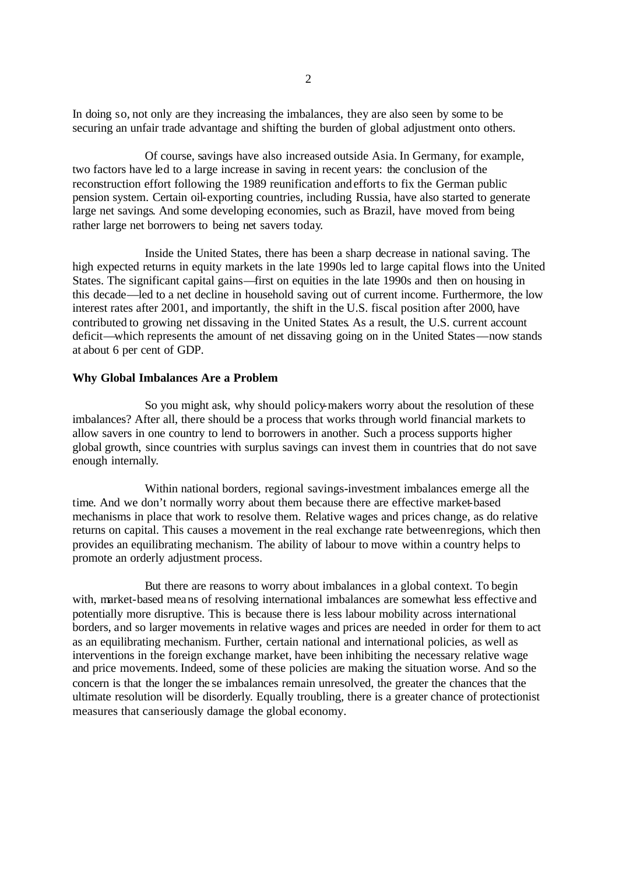In doing so, not only are they increasing the imbalances, they are also seen by some to be securing an unfair trade advantage and shifting the burden of global adjustment onto others.

Of course, savings have also increased outside Asia. In Germany, for example, two factors have led to a large increase in saving in recent years: the conclusion of the reconstruction effort following the 1989 reunification and efforts to fix the German public pension system. Certain oil-exporting countries, including Russia, have also started to generate large net savings. And some developing economies, such as Brazil, have moved from being rather large net borrowers to being net savers today.

Inside the United States, there has been a sharp decrease in national saving. The high expected returns in equity markets in the late 1990s led to large capital flows into the United States. The significant capital gains—first on equities in the late 1990s and then on housing in this decade—led to a net decline in household saving out of current income. Furthermore, the low interest rates after 2001, and importantly, the shift in the U.S. fiscal position after 2000, have contributed to growing net dissaving in the United States. As a result, the U.S. current account deficit—which represents the amount of net dissaving going on in the United States—now stands at about 6 per cent of GDP.

### **Why Global Imbalances Are a Problem**

So you might ask, why should policy-makers worry about the resolution of these imbalances? After all, there should be a process that works through world financial markets to allow savers in one country to lend to borrowers in another. Such a process supports higher global growth, since countries with surplus savings can invest them in countries that do not save enough internally.

Within national borders, regional savings-investment imbalances emerge all the time. And we don't normally worry about them because there are effective market-based mechanisms in place that work to resolve them. Relative wages and prices change, as do relative returns on capital. This causes a movement in the real exchange rate between regions, which then provides an equilibrating mechanism. The ability of labour to move within a country helps to promote an orderly adjustment process.

But there are reasons to worry about imbalances in a global context. To begin with, market-based means of resolving international imbalances are somewhat less effective and potentially more disruptive. This is because there is less labour mobility across international borders, and so larger movements in relative wages and prices are needed in order for them to act as an equilibrating mechanism. Further, certain national and international policies, as well as interventions in the foreign exchange market, have been inhibiting the necessary relative wage and price movements. Indeed, some of these policies are making the situation worse. And so the concern is that the longer the se imbalances remain unresolved, the greater the chances that the ultimate resolution will be disorderly. Equally troubling, there is a greater chance of protectionist measures that canseriously damage the global economy.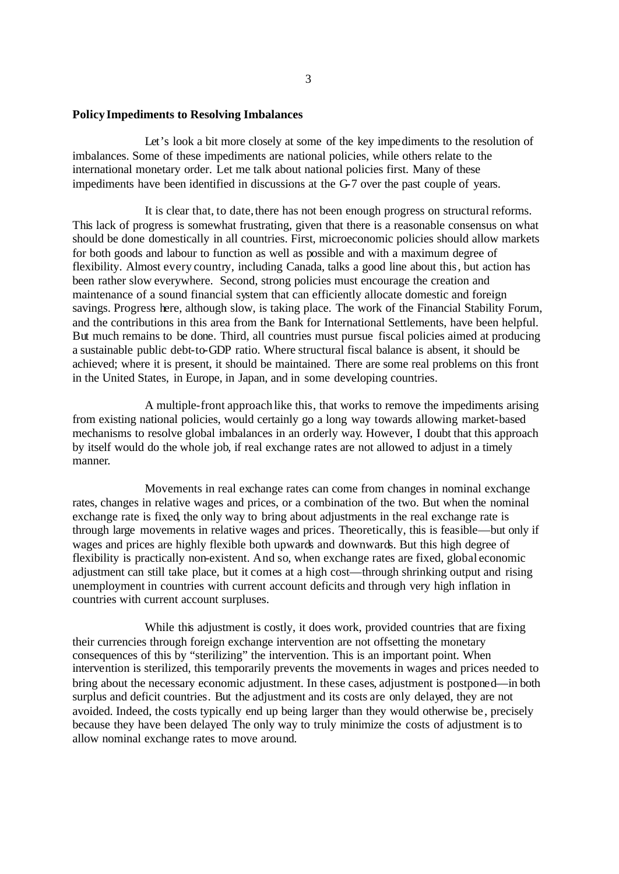#### **Policy Impediments to Resolving Imbalances**

Let's look a bit more closely at some of the key impediments to the resolution of imbalances. Some of these impediments are national policies, while others relate to the international monetary order. Let me talk about national policies first. Many of these impediments have been identified in discussions at the G-7 over the past couple of years.

It is clear that, to date, there has not been enough progress on structural reforms. This lack of progress is somewhat frustrating, given that there is a reasonable consensus on what should be done domestically in all countries. First, microeconomic policies should allow markets for both goods and labour to function as well as possible and with a maximum degree of flexibility. Almost every country, including Canada, talks a good line about this, but action has been rather slow everywhere. Second, strong policies must encourage the creation and maintenance of a sound financial system that can efficiently allocate domestic and foreign savings. Progress here, although slow, is taking place. The work of the Financial Stability Forum, and the contributions in this area from the Bank for International Settlements, have been helpful. But much remains to be done. Third, all countries must pursue fiscal policies aimed at producing a sustainable public debt-to-GDP ratio. Where structural fiscal balance is absent, it should be achieved; where it is present, it should be maintained. There are some real problems on this front in the United States, in Europe, in Japan, and in some developing countries.

A multiple-front approach like this, that works to remove the impediments arising from existing national policies, would certainly go a long way towards allowing market-based mechanisms to resolve global imbalances in an orderly way. However, I doubt that this approach by itself would do the whole job, if real exchange rates are not allowed to adjust in a timely manner.

Movements in real exchange rates can come from changes in nominal exchange rates, changes in relative wages and prices, or a combination of the two. But when the nominal exchange rate is fixed, the only way to bring about adjustments in the real exchange rate is through large movements in relative wages and prices. Theoretically, this is feasible—but only if wages and prices are highly flexible both upwards and downwards. But this high degree of flexibility is practically non-existent. And so, when exchange rates are fixed, global economic adjustment can still take place, but it comes at a high cost—through shrinking output and rising unemployment in countries with current account deficits and through very high inflation in countries with current account surpluses.

While this adjustment is costly, it does work, provided countries that are fixing their currencies through foreign exchange intervention are not offsetting the monetary consequences of this by "sterilizing" the intervention. This is an important point. When intervention is sterilized, this temporarily prevents the movements in wages and prices needed to bring about the necessary economic adjustment. In these cases, adjustment is postponed—in both surplus and deficit countries. But the adjustment and its costs are only delayed, they are not avoided. Indeed, the costs typically end up being larger than they would otherwise be , precisely because they have been delayed. The only way to truly minimize the costs of adjustment is to allow nominal exchange rates to move around.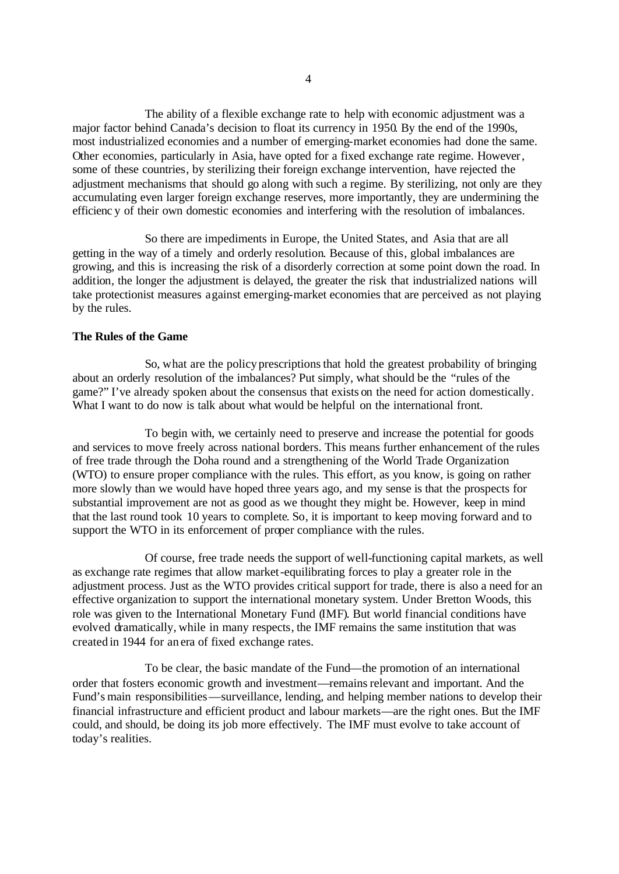The ability of a flexible exchange rate to help with economic adjustment was a major factor behind Canada's decision to float its currency in 1950. By the end of the 1990s, most industrialized economies and a number of emerging-market economies had done the same. Other economies, particularly in Asia, have opted for a fixed exchange rate regime. However, some of these countries, by sterilizing their foreign exchange intervention, have rejected the adjustment mechanisms that should go along with such a regime. By sterilizing, not only are they accumulating even larger foreign exchange reserves, more importantly, they are undermining the efficienc y of their own domestic economies and interfering with the resolution of imbalances.

So there are impediments in Europe, the United States, and Asia that are all getting in the way of a timely and orderly resolution. Because of this, global imbalances are growing, and this is increasing the risk of a disorderly correction at some point down the road. In addition, the longer the adjustment is delayed, the greater the risk that industrialized nations will take protectionist measures against emerging-market economies that are perceived as not playing by the rules.

### **The Rules of the Game**

So, what are the policy prescriptionsthat hold the greatest probability of bringing about an orderly resolution of the imbalances? Put simply, what should be the "rules of the game?" I've already spoken about the consensus that exists on the need for action domestically. What I want to do now is talk about what would be helpful on the international front.

To begin with, we certainly need to preserve and increase the potential for goods and services to move freely across national borders. This means further enhancement of the rules of free trade through the Doha round and a strengthening of the World Trade Organization (WTO) to ensure proper compliance with the rules. This effort, as you know, is going on rather more slowly than we would have hoped three years ago, and my sense is that the prospects for substantial improvement are not as good as we thought they might be. However, keep in mind that the last round took 10 years to complete. So, it is important to keep moving forward and to support the WTO in its enforcement of proper compliance with the rules.

Of course, free trade needs the support of well-functioning capital markets, as well as exchange rate regimes that allow market-equilibrating forces to play a greater role in the adjustment process. Just as the WTO provides critical support for trade, there is also a need for an effective organization to support the international monetary system. Under Bretton Woods, this role was given to the International Monetary Fund (IMF). But world financial conditions have evolved dramatically, while in many respects, the IMF remains the same institution that was created in 1944 for an era of fixed exchange rates.

To be clear, the basic mandate of the Fund—the promotion of an international order that fosters economic growth and investment—remains relevant and important. And the Fund's main responsibilities—surveillance, lending, and helping member nations to develop their financial infrastructure and efficient product and labour markets—are the right ones. But the IMF could, and should, be doing its job more effectively. The IMF must evolve to take account of today's realities.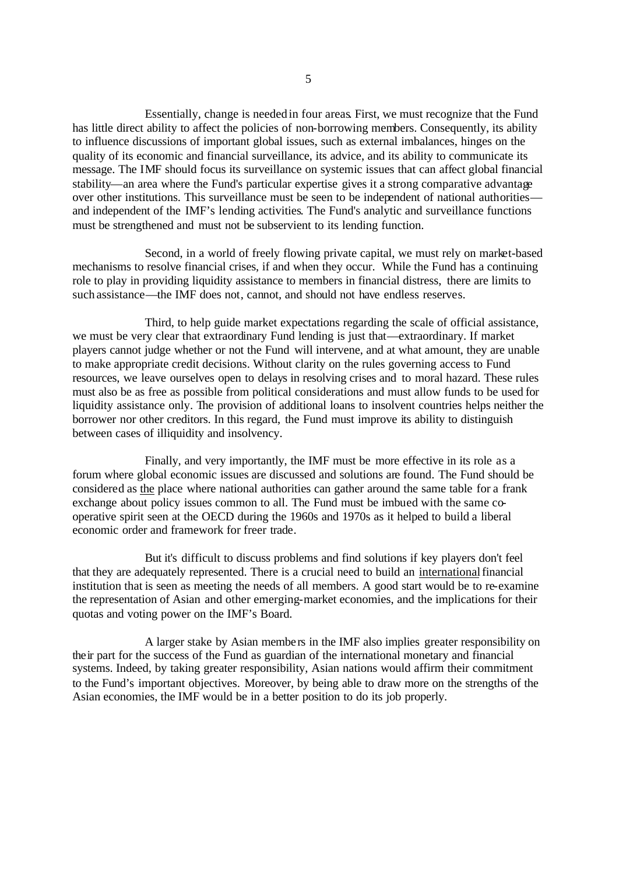Essentially, change is needed in four areas. First, we must recognize that the Fund has little direct ability to affect the policies of non-borrowing members. Consequently, its ability to influence discussions of important global issues, such as external imbalances, hinges on the quality of its economic and financial surveillance, its advice, and its ability to communicate its message. The IMF should focus its surveillance on systemic issues that can affect global financial stability—an area where the Fund's particular expertise gives it a strong comparative advantage over other institutions. This surveillance must be seen to be independent of national authorities and independent of the IMF's lending activities. The Fund's analytic and surveillance functions must be strengthened and must not be subservient to its lending function.

Second, in a world of freely flowing private capital, we must rely on market-based mechanisms to resolve financial crises, if and when they occur. While the Fund has a continuing role to play in providing liquidity assistance to members in financial distress, there are limits to such assistance—the IMF does not, cannot, and should not have endless reserves.

Third, to help guide market expectations regarding the scale of official assistance, we must be very clear that extraordinary Fund lending is just that—extraordinary. If market players cannot judge whether or not the Fund will intervene, and at what amount, they are unable to make appropriate credit decisions. Without clarity on the rules governing access to Fund resources, we leave ourselves open to delays in resolving crises and to moral hazard. These rules must also be as free as possible from political considerations and must allow funds to be used for liquidity assistance only. The provision of additional loans to insolvent countries helps neither the borrower nor other creditors. In this regard, the Fund must improve its ability to distinguish between cases of illiquidity and insolvency.

Finally, and very importantly, the IMF must be more effective in its role as a forum where global economic issues are discussed and solutions are found. The Fund should be considered as the place where national authorities can gather around the same table for a frank exchange about policy issues common to all. The Fund must be imbued with the same cooperative spirit seen at the OECD during the 1960s and 1970s as it helped to build a liberal economic order and framework for freer trade.

But it's difficult to discuss problems and find solutions if key players don't feel that they are adequately represented. There is a crucial need to build an international financial institution that is seen as meeting the needs of all members. A good start would be to re-examine the representation of Asian and other emerging-market economies, and the implications for their quotas and voting power on the IMF's Board.

A larger stake by Asian membe rs in the IMF also implies greater responsibility on their part for the success of the Fund as guardian of the international monetary and financial systems. Indeed, by taking greater responsibility, Asian nations would affirm their commitment to the Fund's important objectives. Moreover, by being able to draw more on the strengths of the Asian economies, the IMF would be in a better position to do its job properly.